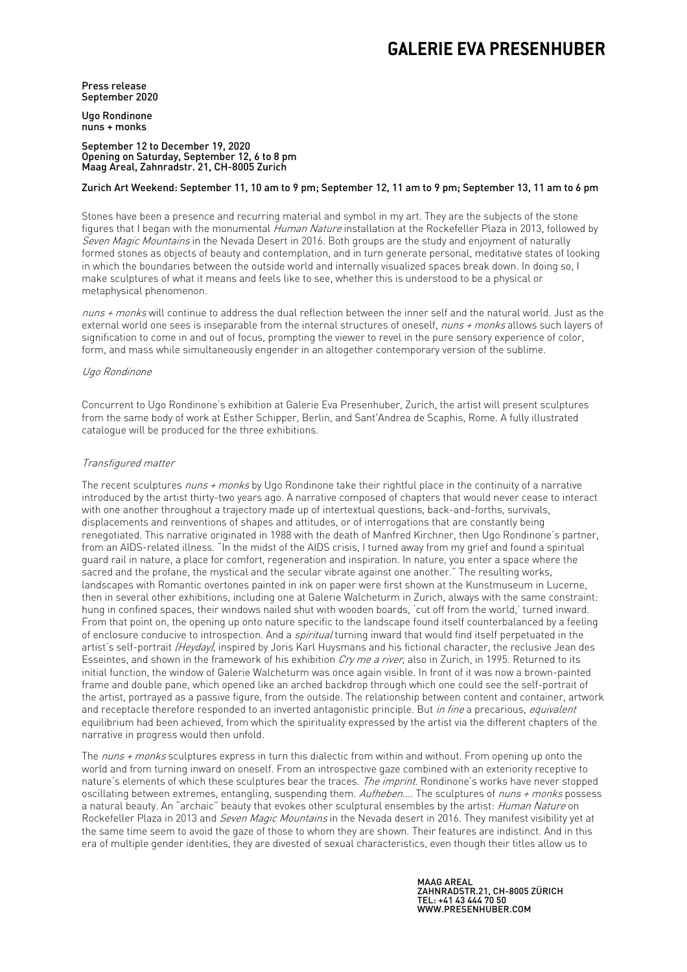## **GALERIE EVA PRESENHUBER**

Press release September 2020

Ugo Rondinone nuns + monks

#### September 12 to December 19, 2020 Opening on Saturday, September 12, 6 to 8 pm Maag Areal, Zahnradstr. 21, CH-8005 Zurich

## Zurich Art Weekend: September 11, 10 am to 9 pm; September 12, 11 am to 9 pm; September 13, 11 am to 6 pm

Stones have been a presence and recurring material and symbol in my art. They are the subjects of the stone figures that I began with the monumental Human Nature installation at the Rockefeller Plaza in 2013, followed by Seven Magic Mountains in the Nevada Desert in 2016. Both groups are the study and enjoyment of naturally formed stones as objects of beauty and contemplation, and in turn generate personal, meditative states of looking in which the boundaries between the outside world and internally visualized spaces break down. In doing so, I make sculptures of what it means and feels like to see, whether this is understood to be a physical or metaphysical phenomenon.

nuns + monks will continue to address the dual reflection between the inner self and the natural world. Just as the external world one sees is inseparable from the internal structures of oneself, nuns + monks allows such layers of signification to come in and out of focus, prompting the viewer to revel in the pure sensory experience of color, form, and mass while simultaneously engender in an altogether contemporary version of the sublime.

#### Ugo Rondinone

Concurrent to Ugo Rondinone's exhibition at Galerie Eva Presenhuber, Zurich, the artist will present sculptures from the same body of work at Esther Schipper, Berlin, and Sant'Andrea de Scaphis, Rome. A fully illustrated catalogue will be produced for the three exhibitions.

#### Transfigured matter

The recent sculptures nuns + monks by Ugo Rondinone take their rightful place in the continuity of a narrative introduced by the artist thirty-two years ago. A narrative composed of chapters that would never cease to interact with one another throughout a trajectory made up of intertextual questions, back-and-forths, survivals, displacements and reinventions of shapes and attitudes, or of interrogations that are constantly being renegotiated. This narrative originated in 1988 with the death of Manfred Kirchner, then Ugo Rondinone's partner, from an AIDS-related illness. "In the midst of the AIDS crisis, I turned away from my grief and found a spiritual guard rail in nature, a place for comfort, regeneration and inspiration. In nature, you enter a space where the sacred and the profane, the mystical and the secular vibrate against one another." The resulting works, landscapes with Romantic overtones painted in ink on paper were first shown at the Kunstmuseum in Lucerne, then in several other exhibitions, including one at Galerie Walcheturm in Zurich, always with the same constraint: hung in confined spaces, their windows nailed shut with wooden boards, 'cut off from the world,' turned inward. From that point on, the opening up onto nature specific to the landscape found itself counterbalanced by a feeling of enclosure conducive to introspection. And a *spiritual* turning inward that would find itself perpetuated in the artist's self-portrait (Heyday), inspired by Joris Karl Huysmans and his fictional character, the reclusive Jean des Esseintes, and shown in the framework of his exhibition Cry me a river, also in Zurich, in 1995. Returned to its initial function, the window of Galerie Walcheturm was once again visible. In front of it was now a brown-painted frame and double pane, which opened like an arched backdrop through which one could see the self-portrait of the artist, portrayed as a passive figure, from the outside. The relationship between content and container, artwork and receptacle therefore responded to an inverted antagonistic principle. But in fine a precarious, equivalent equilibrium had been achieved, from which the spirituality expressed by the artist via the different chapters of the narrative in progress would then unfold.

The nuns + monks sculptures express in turn this dialectic from within and without. From opening up onto the world and from turning inward on oneself. From an introspective gaze combined with an exteriority receptive to nature's elements of which these sculptures bear the traces. The imprint. Rondinone's works have never stopped oscillating between extremes, entangling, suspending them. Aufheben.... The sculptures of nuns + monks possess a natural beauty. An "archaic" beauty that evokes other sculptural ensembles by the artist: Human Nature on Rockefeller Plaza in 2013 and Seven Magic Mountains in the Nevada desert in 2016. They manifest visibility yet at the same time seem to avoid the gaze of those to whom they are shown. Their features are indistinct. And in this era of multiple gender identities, they are divested of sexual characteristics, even though their titles allow us to

> MAAG AREAL ZAHNRADSTR.21, CH-8005 ZÜRICH TEL: +41 43 444 70 50 WWW.PRESENHUBER.COM